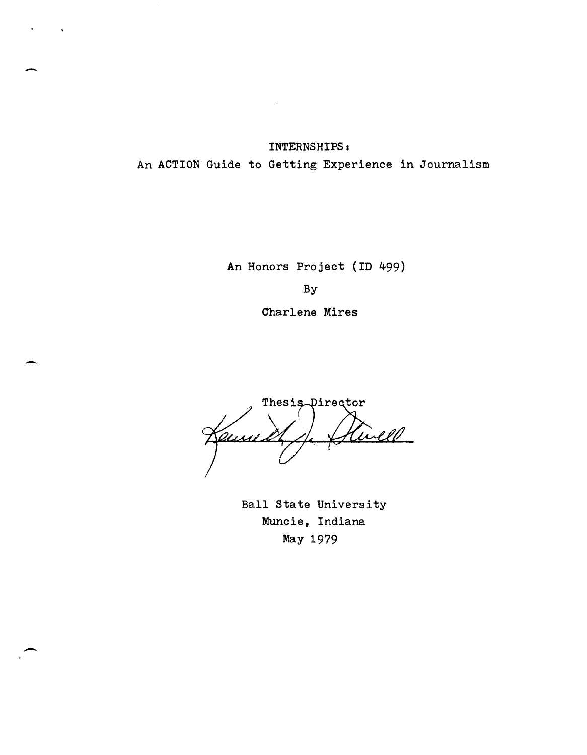INTERNSHIPS <sup>I</sup> An ACTION Guide to Getting Experience in Journalism

 $\hat{\mathbf{v}}$ 

-

-

-

An Honors Project (In 499) By

Charlene Mires

Thesis Director Rivell Kemi

Ball State University Muncie, Indiana May 1979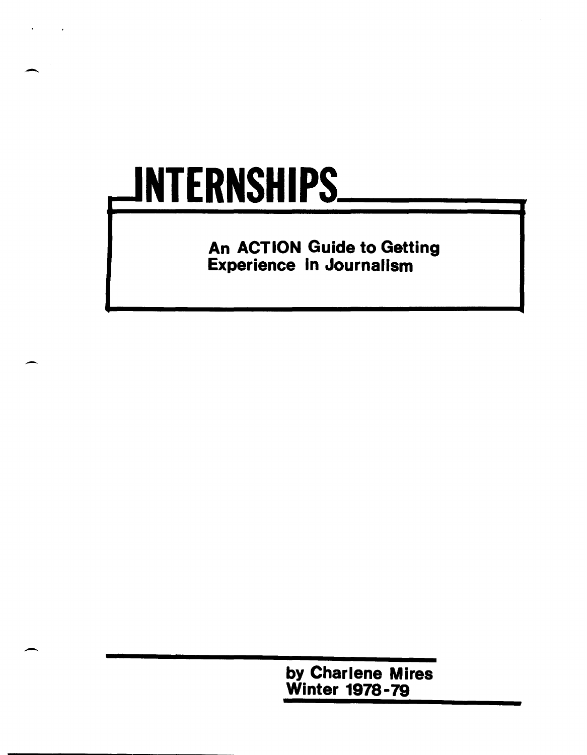# JNTERNSHIPS.

 $\overline{\phantom{0}}$ 

--

-

An ACTION Guide to Getting Experience in Journalism

> by Charlene Mires Winter 1978-79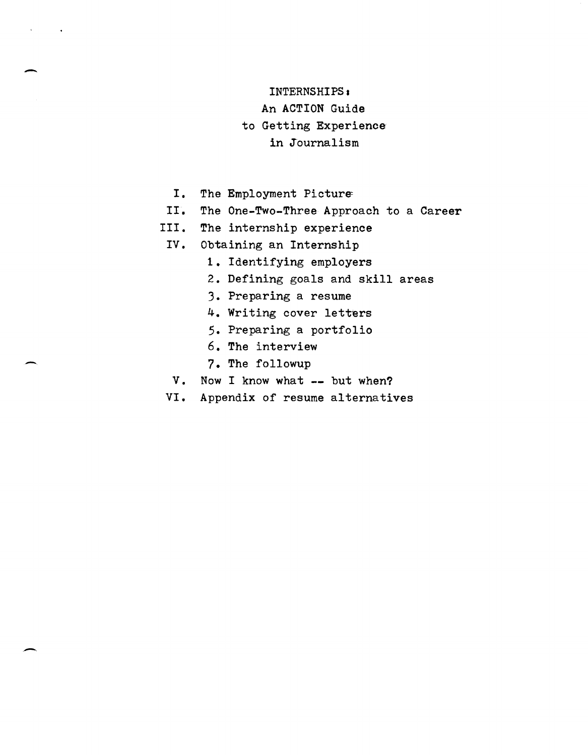# INTERNSHIPS.

An ACTION Guide

# to Getting Experience

# in Journalism

I. The Employment Picture

 $\overline{\phantom{a}}$ 

-

-

- II. The One-Two-Three Approach to a Career
- III. The internship experience
	- IV. Obtaining an Internship
		- 1. Identifying employers
		- 2. Defining goals and skill areas
		- 3. Preparing a resume
		- 4. Writing cover letters
		- 5. Preparing a portfolio
		- 6. The interview
		- 7. The followup
	- V. Now I know what **--** but when?
- VI. Appendix of resume alternatives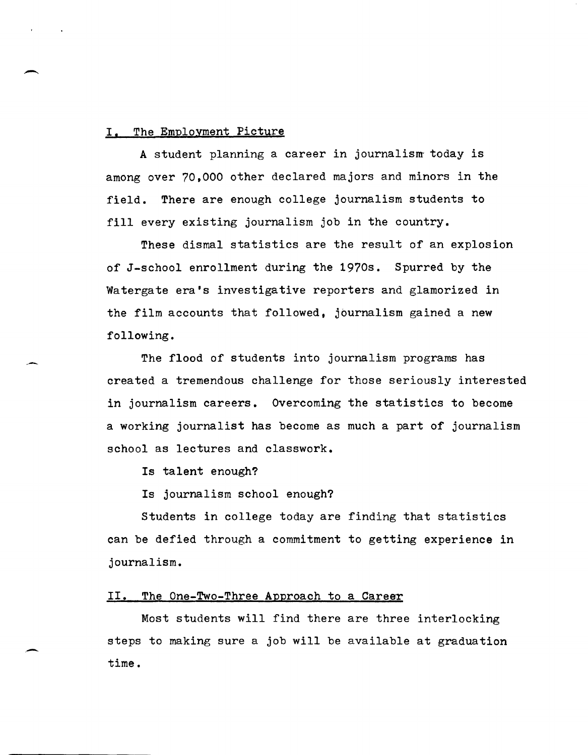#### I. The Employment Picture

--

A student planning a career in journalism today is among over 70,000 other declared majors and minors in the field. There are enough college journalism students to fill every existing journalism job in the country.

These dismal statistics are the result of an explosion of J-school enrollment during the 1970s. Spurred by the watergate era's investigative reporters and glamorized in the film accounts that followed, journalism gained a new following.

The flood of students into journalism programs has created a tremendous challenge for those seriously interested in journalism careers. Overcoming the statistics to become a working journalist has become as much a part of journalism school as lectures and classwork.

Is talent enough?

Is journalism school enough?

Students in college today are finding that statistics can be defied through a commitment to getting experience in journalism.

#### II. The One-Two-Three Approach to a Career

Most students will find there are three interlocking steps to making sure a job will be available at graduation time.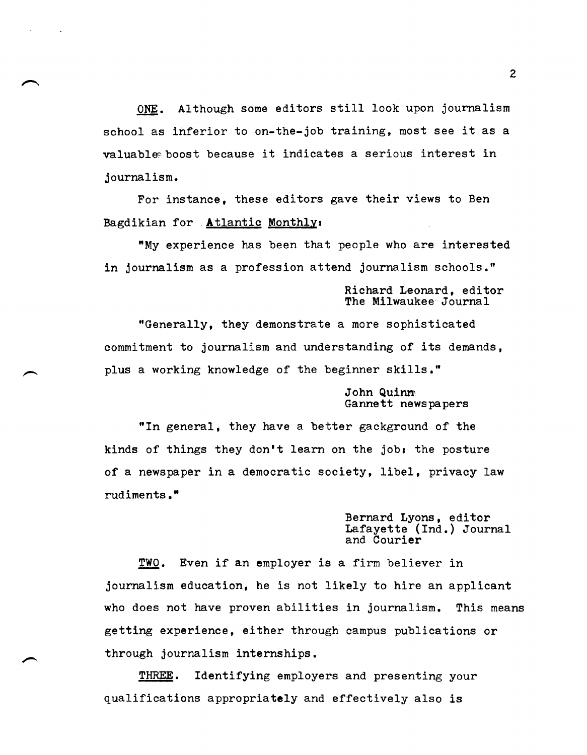ONE. Although some editors still look upon journalism school as inferior to on-the-job training, most see it as a valuable boost because it indicates a serious interest in journalism.

For instance, these editors gave their views to Ben Bagdikian for . Atlantic Monthly.

"My experience has been that people who are interested in journalism as a profession attend journalism schools."

> Richard Leonard, editor The Milwaukee Journal

"Generally, they demonstrate a more sophisticated commitment to journalism and understanding of its demands, plus a working knowledge of the beginner skills."

#### John Quinm Gannett newspapers

"In general, they have a better gackground of the kinds of things they don't learn on the job: the posture of a newspaper in a democratic society, libel, privacy law rUdiments."

> Bernard Lyons, editor Lafayette (Ind.) Journal and Courier

TWO. Even if an employer is a firm believer in journalism education, he is not likely to hire an applicant who does not have proven abilities in journalism. This means getting experience, either through campus publications or through journalism internships.

THREE. Identifying employers and presenting your qualifications appropriately and effectively also is

2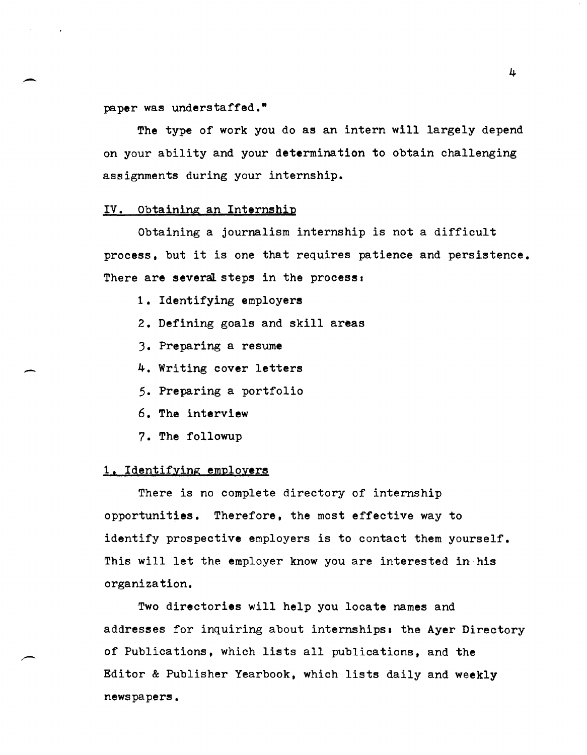paper was understaffed."

The type of work you do as an intern will largely depend on your ability and your determination to obtain challenging assignments during your internship.

#### IV. Obtaining an Internship

Obtaining a journalism internship is not a difficult process, but it is one that requires patience and persistence. There are several steps in the process:

- 1. Identifying employers
- 2. Defining goals and skill areas
- 3. Preparing a resume
- 4. Writing cover letters
- 5. Preparing a portfolio
- 6. The interview
- 7. The followup

#### 1. Identifying employers

There is no complete directory of internship opportunities. Therefore, the most effective way to identify prospective employers is to contact them yourself. This will let the employer know you are interested in his organization.

Two directories will help you locate names and addresses for inquiring about internships. the Ayer Directory of Publications, which lists all publications, and the Editor & Publisher Yearbook, which lists daily and weekly newspapers.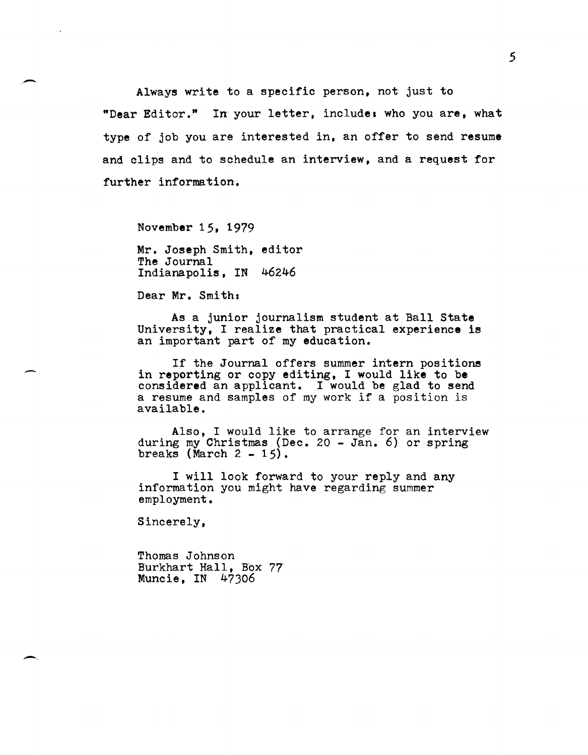Always write to a specific person, not just to "Dear Editor." In your letter, include: who you are, what type of job you are interested in, an offer to send resume and clips and to schedule an interview, and a request for further information.

November 15, 1979

 $\overline{\phantom{0}}$ 

Mr. Joseph Smith, editor The Journal Indianapolis, IN 46246

Dear Mr. Smith.

As a junior journalism student at Ball State University, I realize that practical experience is an important part of my education.

If the Journal offers summer intern positions in reporting or copy editing, I would like to be considered an applicant. I would be glad to send a resume and samples of my work if a position is available.

Also, I would like to arrange for an interview during my Christmas (Dec. 20 - Jan. 6) or spring<br>breaks (March 2 - 15).

I will look forward to your reply and any information you might have regarding summer employment.

Sincerely,

Thomas Johnson Burkhart Hall, Box 77 Muncie, IN 47306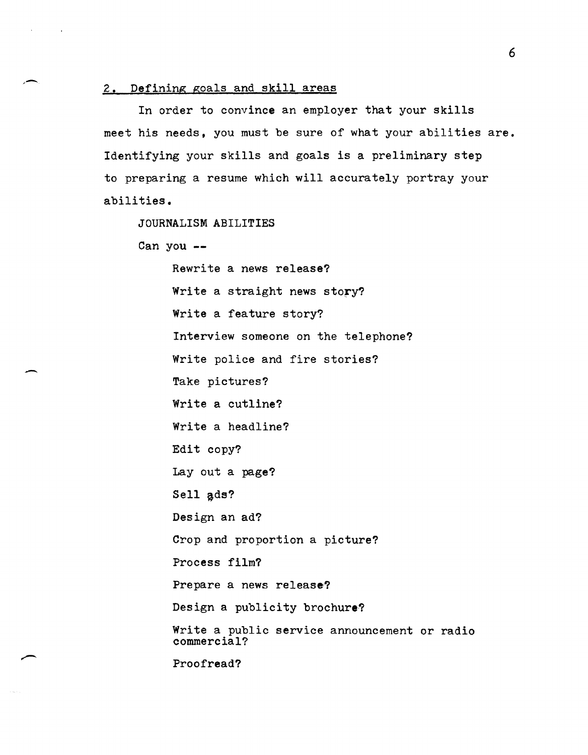#### 2. Defining goals and skill areas

In order to convince an employer that your skills meet his needs, you must be sure of what your abilities are. Identifying your skills and goals is a preliminary step to preparing a resume which will accurately portray your abilities.

JOURNALISM ABILITIES

Can you **--**

,-

-

Rewrite a news release? Write a straight news story? Write a feature story? Interview someone on the telephone? Write police and fire stories? Take pictures? Write a cutline? Write a headline? Edit copy? Lay out a page? Sell ads? Design an ad? Crop and proportion a picture? Process film? Prepare a news release? Design a publicity brochure? Write a public service announcement or radio commercial?

Proofread?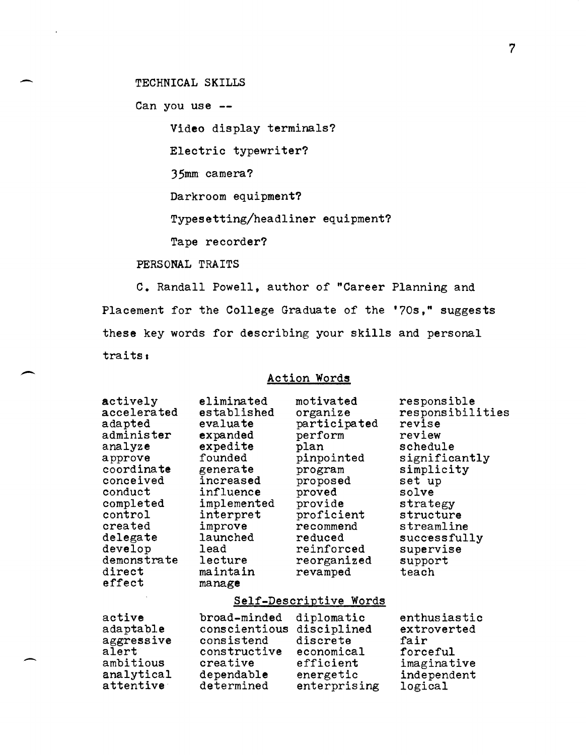TECHNICAL SKILLS

Can you use **--**

-

--

-

Video display terminals?

Electric typewriter?

35mm camera?

Darkroom equipment?

Typesetting/headliner equipment?

Tape recorder?

PERSONAL TRAITS

C. Randall Powell, author of "Career Planning and Placement for the College Graduate of the '70s," suggests these key words for describing your skills and personal traits.

# Action Words

| actively<br>accelerated<br>adapted<br>administer<br>analyze<br>approve<br>coordinate<br>conceived<br>conduct<br>completed<br>control<br>created<br>delegate<br>develop<br>demonstrate<br>direct<br>effect | eliminated<br>established<br>evaluate<br>expanded<br>expedite<br>founded<br>generate<br>increased<br>influence<br>implemented<br>interpret<br>improve<br>launched<br>lead<br>lecture<br>maintain<br>manage | motivated<br>organize<br>participated<br>perform<br>plan<br>pinpointed<br>program<br>proposed<br>proved<br>provide<br>proficient<br>recommend<br>reduced<br>reinforced<br>reorganized<br>revamped | responsible<br>responsibilities<br>revise<br>review<br>schedule<br>significantly<br>simplicity<br>set up<br>solve<br>strategy<br>structure<br>streamline<br>successfully<br>supervise<br>support<br>teach |
|-----------------------------------------------------------------------------------------------------------------------------------------------------------------------------------------------------------|------------------------------------------------------------------------------------------------------------------------------------------------------------------------------------------------------------|---------------------------------------------------------------------------------------------------------------------------------------------------------------------------------------------------|-----------------------------------------------------------------------------------------------------------------------------------------------------------------------------------------------------------|
| Self-Descriptive Words                                                                                                                                                                                    |                                                                                                                                                                                                            |                                                                                                                                                                                                   |                                                                                                                                                                                                           |
| active<br>adaptable<br>aggressive<br>alert<br>ambitious<br>analytical<br>attentive                                                                                                                        | broad-minded<br>conscientious<br>consistend<br>constructive<br>creative<br>dependable<br>determined                                                                                                        | diplomatic<br>disciplined<br>discrete<br>economical<br>efficient<br>energetic<br>enterprising                                                                                                     | enthusiastic<br>extroverted<br>fair<br>forceful<br>imaginative<br>independent<br>logical                                                                                                                  |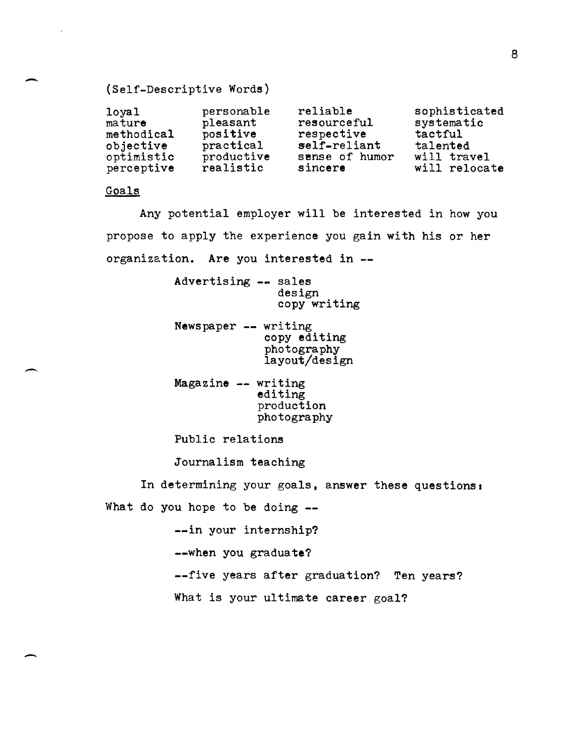# (Self-Descriptive Words)

| 10 <sub>ya1</sub> | personable | reliable       | sophisticated |
|-------------------|------------|----------------|---------------|
| mature            | pleasant   | resourceful    | systematic    |
| methodical        | positive   | respective     | tactful       |
| objective         | practical  | self-reliant   | talented      |
| optimistic        | productive | sense of humor | will travel   |
| perceptive        | realistic  | sincere        | will relocate |

## Goals

-

-

-

Any potential employer will be interested in how you propose to apply the experience you gain with his or her organization. Are you interested in --

> Advertising -- sales design copy writing

- Newspaper -- writing copy editing photography layout/design
- Magazine -- writing editing production photography

Public relations

Journalism teaching

In determining your goals, answer these questions: What do you hope to be doing --

--in your internship?

--when you graduate?

--five years after graduation? Ten years?

What is your ultimate career goal?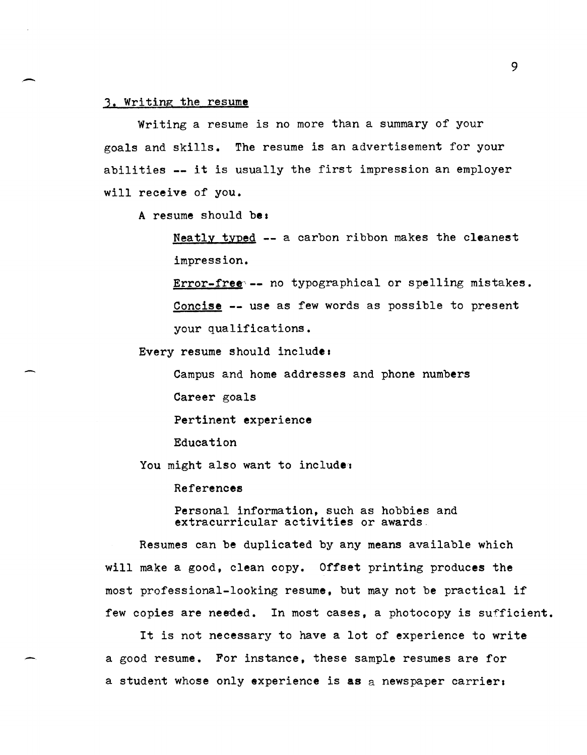#### 3. Writing the resume

Writing a resume is no more than a summary of your goals and skills. The resume is an advertisement for your abilities -- it is usually the first impression an employer will receive of you.

A resume should be:

Neatly typed -- a carbon ribbon makes the cleanest impression.

Error-free -- no typographical or spelling mistakes. Concise -- use as few words as possible to present your qualifications.

Every resume should include.

Campus and home addresses and phone numbers

Career goals

Pertinent experience

Education

You might also want to include:

References

Personal information, such as hobbies and extracurricular activities or awards.

Resumes can be duplicated by any means available which will make a good, clean copy. Offset printing produces the most professional-looking resume, but may not be practical if few copies are needed. In most cases, a photocopy is sufficient.

It is not necessary to have a lot of experience to write a good resume. For instanee, these sample resumes are for a student whose only experience is as a newspaper carrier: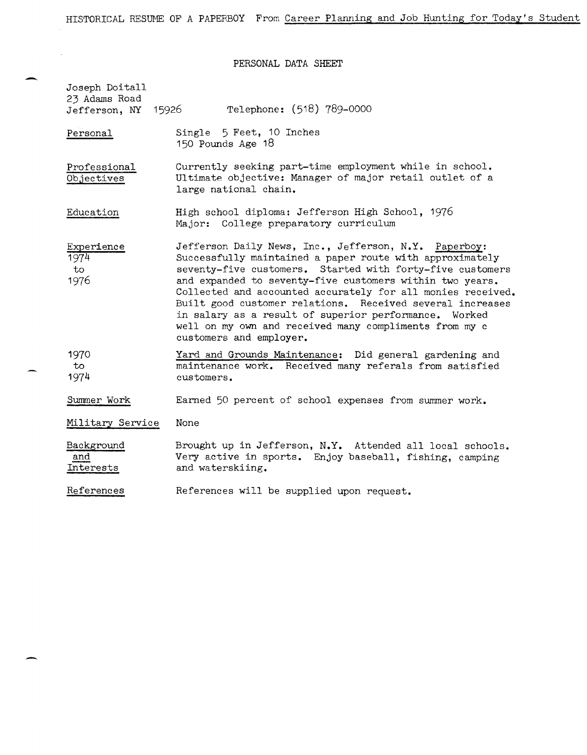PERSONAL DATA SHEET

| Joseph Doitall<br>23 Adams Road<br>15926<br>Jefferson, NY | Telephone: (518) 789-0000                                                                                                                                                                                                                                                                                                                                                                                                                                                                                            |
|-----------------------------------------------------------|----------------------------------------------------------------------------------------------------------------------------------------------------------------------------------------------------------------------------------------------------------------------------------------------------------------------------------------------------------------------------------------------------------------------------------------------------------------------------------------------------------------------|
| Personal                                                  | Single 5 Feet, 10 Inches<br>150 Pounds Age 18                                                                                                                                                                                                                                                                                                                                                                                                                                                                        |
| Professional<br>Objectives                                | Currently seeking part-time employment while in school.<br>Ultimate objective: Manager of major retail outlet of a<br>large national chain.                                                                                                                                                                                                                                                                                                                                                                          |
| Education                                                 | High school diploma: Jefferson High School, 1976<br>Major: College preparatory curriculum                                                                                                                                                                                                                                                                                                                                                                                                                            |
| Experience<br>1974<br>to<br>1976                          | Jefferson Daily News, Inc., Jefferson, N.Y. Paperboy:<br>Successfully maintained a paper route with approximately<br>seventy-five customers. Started with forty-five customers<br>and expanded to seventy-five customers within two years.<br>Collected and accounted accurately for all monies received.<br>Built good customer relations. Received several increases<br>in salary as a result of superior performance. Worked<br>well on my own and received many compliments from my c<br>customers and employer. |
| 1970<br>to<br>1974                                        | Yard and Grounds Maintenance: Did general gardening and<br>maintenance work. Received many referals from satisfied<br>customers.                                                                                                                                                                                                                                                                                                                                                                                     |
| Summer Work                                               | Earned 50 percent of school expenses from summer work.                                                                                                                                                                                                                                                                                                                                                                                                                                                               |
| Military Service                                          | None                                                                                                                                                                                                                                                                                                                                                                                                                                                                                                                 |
| Background<br>and<br>Interests                            | Brought up in Jefferson, N.Y. Attended all local schools.<br>Very active in sports. Enjoy baseball, fishing, camping<br>and waterskiing.                                                                                                                                                                                                                                                                                                                                                                             |
| References                                                | References will be supplied upon request.                                                                                                                                                                                                                                                                                                                                                                                                                                                                            |

÷

-

 $\sim$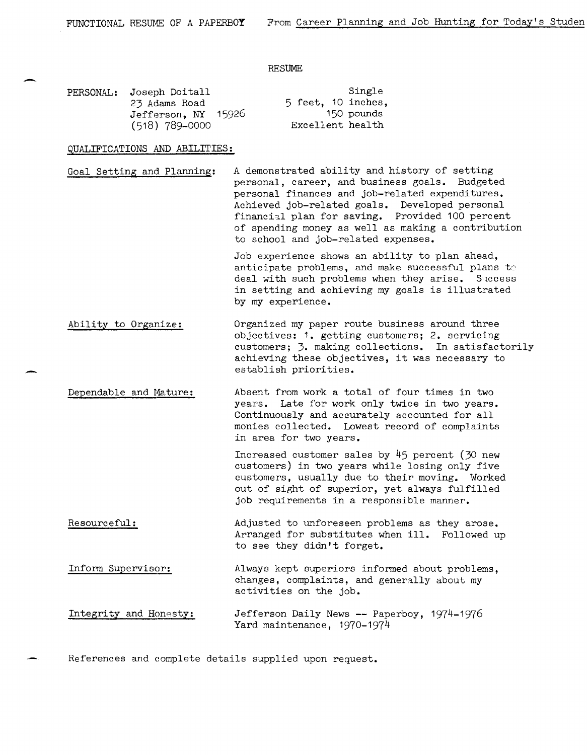#### RESUME

| PERSONAL: Joseph Doitall |                    | Single     |
|--------------------------|--------------------|------------|
| 23 Adams Road            | 5 feet. 10 inches. |            |
| Jefferson, NY 15926      |                    | 150 pounds |
| $(518)$ 789-0000         | Excellent health   |            |

#### QUALIFICATIONS AND **ABILITIES:**

-

-

Goal Setting and Planning: A demonstrated ability and history of setting personal, career, and business goals. Budgeted personal finances and job-related expenditures. Achieved job-related goals. Developed personal financial plan for saving. Provided 100 percent of spending money as well as making a contribution to school and job-related expenses.

> Job experience shows an ability to plan ahead, anticipate problems, and make successful plans to deal with such problems when they arise. Success in setting and achieving my goals is illustrated by my experience.

Ability to Organize: Organized my paper route business around three objectives: **1.** getting customers; 2. servicing customers; 3. making collections. In satisfactorily achieving these objectives, it was necessary to establish priorities.

Dependable and Mature: Absent from work a total of four times in two years. Late for work only twice in two years. Continuously and accurately accounted for all monies collected. Lowest record of complaints in area for two years.

> Increased customer sales by 45 percent (30 new customers) in two years while losing only five customers, usually due to their moving. Worked out of sight of superior, yet always fulfilled job requirements in a responsible manner.

Resourceful: Adjusted to unforeseen problems as they arose. Arranged for substitutes when ill. Followed up to see they didn't forget.

Inform Supervisor: Always kept superiors informed about problems, changes, complaints, and generally about my activities on the job.

Integrity and Honesty: Jefferson Daily News **--** Paperboy, 1974-1976 Yard maintenance, 1970-1974

References and eomplete details supplied upon request.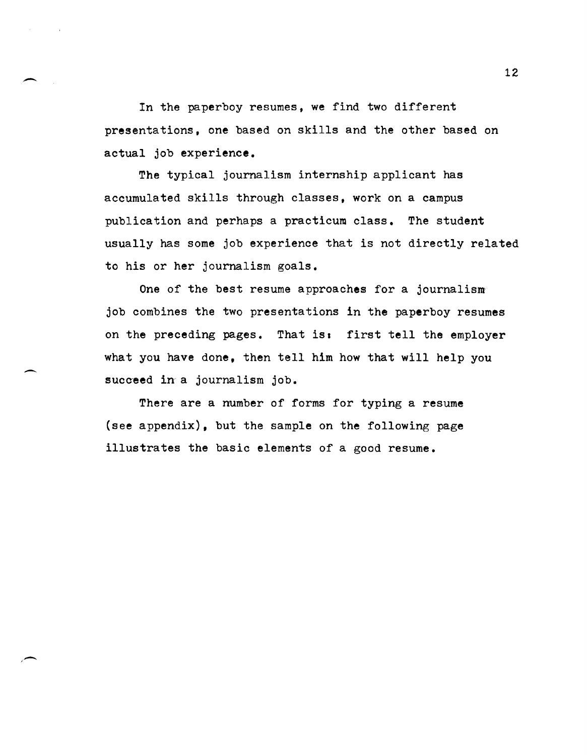In the paperboy resumes, we find two different presentations, one based on skills and the other based on actual job experience.

The typical journalism internship applicant has accumulated skills through classes, work on a campus publication and perhaps a practicum class. The student usually has some job experience that is not directly related to his or her journalism goals.

One of the best resume approaches for a journalism job combines the two presentations in the paperboy resumes on the preceding pages. That is: first tell the employer what you have done, then tell him how that will help you succeed in a journalism job.

There are a number of forms for typing a resume (see appendix), but the sample on the following page illustrates the basic elements of a good resume.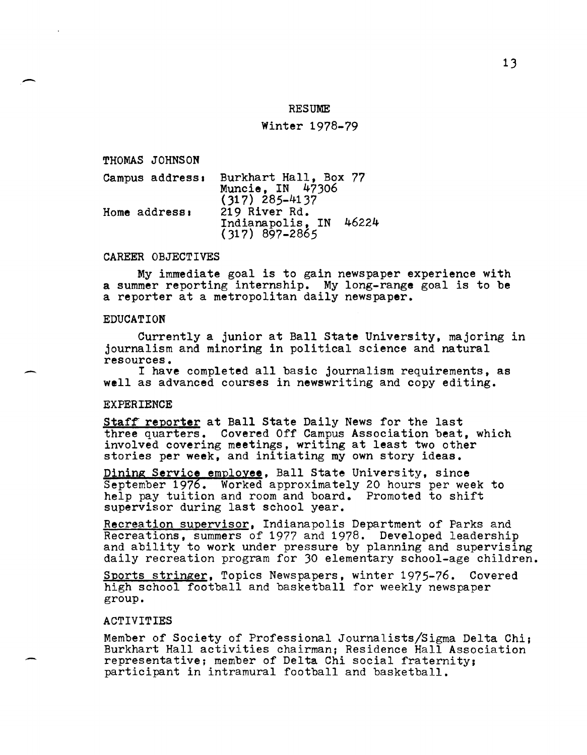#### **RESUME**

#### Winter 1978-79

THOMAS JOHNSON

 $\overline{\phantom{a}}$ 

-

| Campus address: | Burkhart Hall, Box 77<br>Muncie, IN 47306<br>$(317)$ 285-4137 |
|-----------------|---------------------------------------------------------------|
| Home address:   | 219 River Rd.<br>46224<br>Indianapolis, IN<br>(317) 897-2865  |

#### CAREER OBJECTIVES

My immediate goal is to gain newspaper experience with a summer reporting internship. My long-range goal is to be a reporter at a metropolitan daily newspaper.

#### EDUCATION

Currently a junior at Ball State University, majoring in journalism and minoring in political science and natural resources.

I have completed all basic journalism requirements, as well as advanced courses in newswriting and copy editing.

#### EXPERIENCE

Staff reporter at Ball State Daily News for the last three quarters. Covered Off Campus Association beat, which involved covering meetings, writing at least two other stories per week, and initiating my own story ideas.

Dining Service employee, Ball State University, since September 1976. Worked approximately 20 hours per week to help pay tuition and room and board. Promoted to shift supervisor during last school year.

Recreation supervisor, Indianapolis Department of Parks and<br>Recreations, summers of 1977 and 1978. Developed leadership and ability to work under pressure by planning and supervising daily recreation program for 30 elementary school-age children.

Sports stringer, Topics Newspapers, winter 1975-76. Covered high school football and basketball for weekly newspaper group.

#### ACTIVITIES

Member of Society of Professional Journalists/Sigma Delta Chi; Burkhart Hall activities chairman; Residence Hall Association representative; member of Delta Chi social fraternity; participant in intramural football and basketball.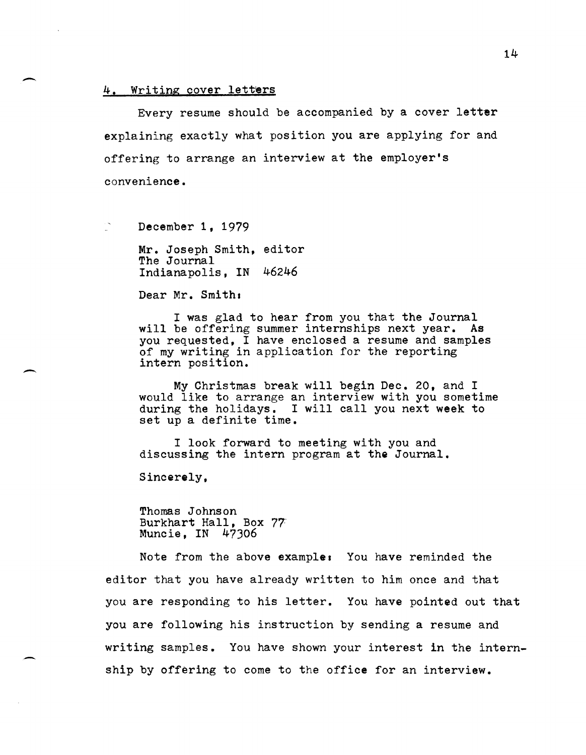#### 4. Writing cover letters

-

-

Every resume should be accompanied by a cover letter explaining exactly what position you are applying for and offering to arrange an interview at the employer's convenience.

December 1, 1979

Mr. Joseph Smith, editor The Journal Indianapolis, IN 46246

Dear Mr. Smith:

I was glad to hear from you that the Journal will be offering summer internships next year. As you requested, I have enclosed a resume and samples of my writing in application for the reporting intern position.

My Christmas break will begin Dec. 20, and I would like to arrange an interview with you sometime during the holidays. I will call you next week to set up a definite time.

I look forward to meeting with you and discussing the intern program at the Journal.

Sincerely,

Thomas Johnson Burkhart Hall, Box 77 Muncie, IN 47306

Note from the above examples You have reminded the editor that you have already written to him once and that you are responding to his letter. You have pointed out that you are following his instruction by sending a resume and writing samples. You have shown your interest in the internship by offering to come to the office for an interview.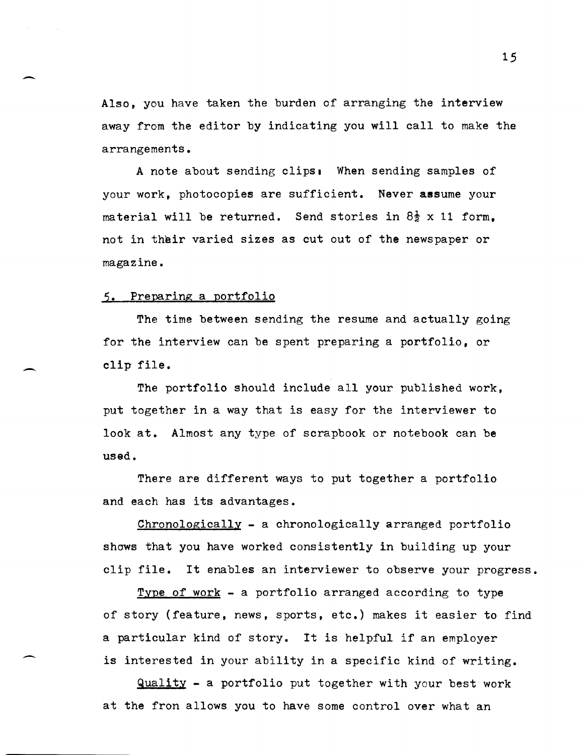Also, you have taken the burden of arranging the interview away from the editor by indicating you will call to make the arrangements.

A note about sending clips. When sending samples of your work, photocopies are sufficient. Never assume your material will be returned. Send stories in  $8\frac{1}{2}$  x 11 form. not in their varied sizes as cut out of the newspaper or magazine.

### 5. Preparing a portfolio

The time between sending the resume and actually going for the interview can be spent preparing a portfolio, or clip file.

The portfolio should include all your published work, put together in a way that is easy for the interviewer to look at. Almost any type of scrapbook or notebook can be used.

There are different ways to put together a portfolio and each has its advantages.

Chronologically - a chronologically arranged portfolio shows that you have worked consistently in building up your clip file. It enables an interviewer to observe your progress.

Type of work - a portfolio arranged according to type of story (feature, news, sports, etc.) makes it easier to find a particular kind of story. It is helpful if an employer is interested in your ability in a specific kind of writing.

 $Quality - a portfolio put together with your best work$ at the fron allows you to have some control over what an

15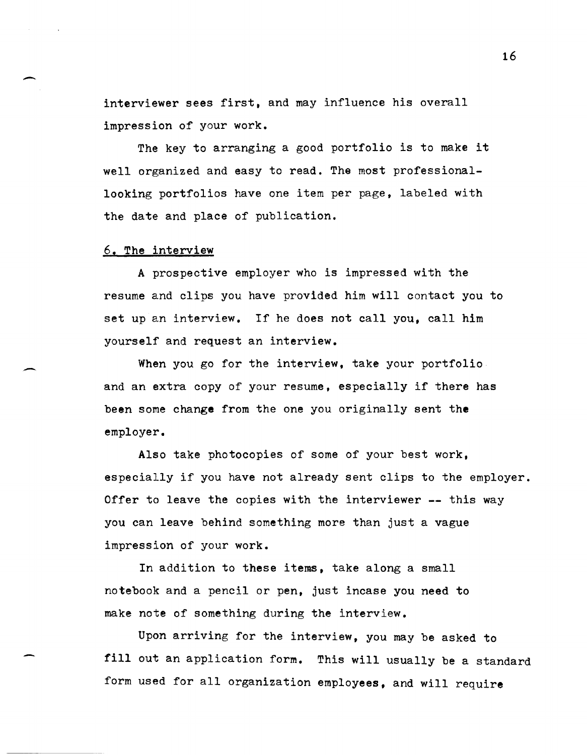interviewer sees first, and may influence his overall impression of your work.

The key to arranging a good portfolio is to make it well organized and easy to read. The most professionallooking portfolios have one item per page, labeled with the date and place of publication.

#### 6. The interview

A prospective employer who is impressed with the resume and clips you have provided him will contact you to set up an interview. If he does not call you, call him yourself and request an interview.

When you go for the interview, take your portfolio. and an extra copy of your resume, especially if there has been some change from the one you originally sent the employer.

Also take photocopies of some of your best work, especially if you have not already sent clips to the employer. Offer to leave the copies with the interviewer -- this way you can leave behind something more than just a vague impression of your work.

In addition to these items, take along a small notebook and a pencil or pen, just incase you need to make note of something during the interview.

Upon arriving for the interview, you may be asked to fill out an application form. This will usually be a standard form used for all organization employees, and will require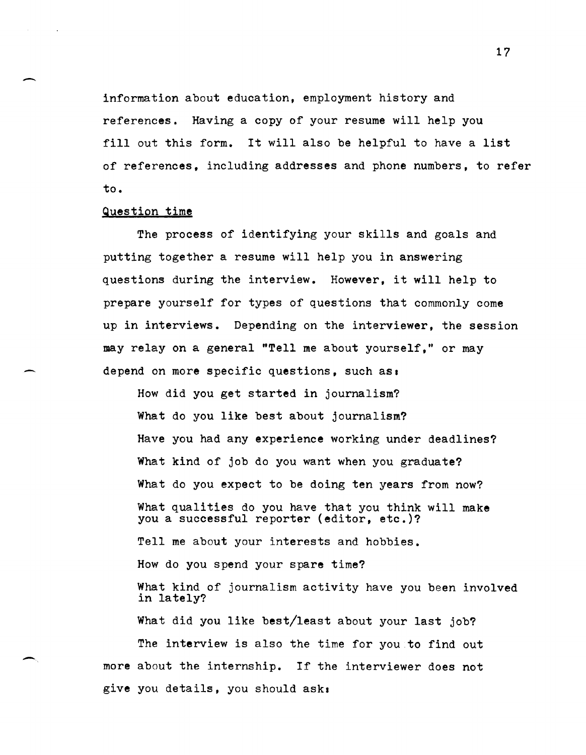information about education, employment history and references. Having a copy of your resume will help you fill out this form. It will also be helpful to have a list of references, including addresses and phone numbers, to refer to.

#### Question time

-

-,

The process of identifying your skills and goals and putting together a resume will help you in answering questions during the interview. However, it will help to prepare yourself for types of questions that commonly come up in interviews. Depending on the interviewer, the session may relay on a general "Tell me about yourself," or may depend on more specific questions, such as.

How did you get started in journalism? What do you like best about journalism? Have you had any experience working under deadlines? What kind of job do you want when you graduate? What do you expect to be doing ten years from now? What qualities do you have that you think will make you a successful reporter (editor, etc.)? Tell me about your interests and hobbies. How do you spend your spare time? What kind of journalism activity have you been involved in lately? What did you like best/least about your last job? The interview is also the time for you to find out more about the internship. If the interviewer does not give you details, you should ask.

17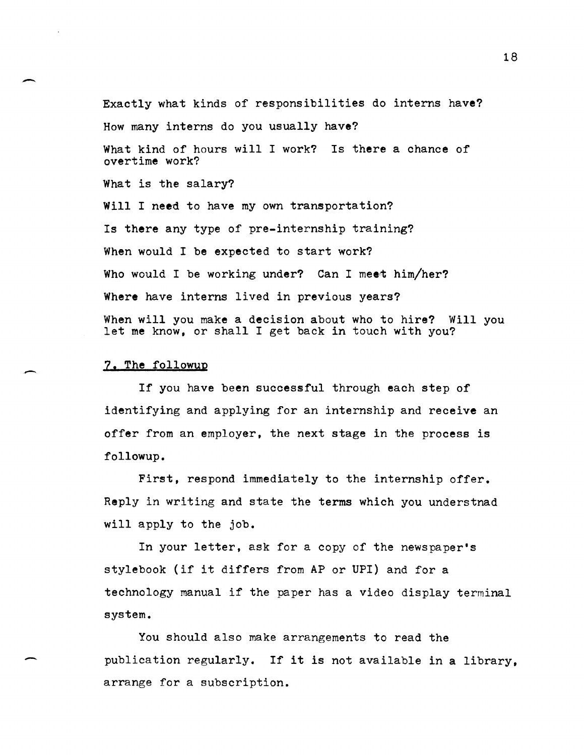Exactly what kinds of responsibilities do interns have? How many interns do you usually have? What kind of hours will I work? Is there a chance of overtime work? What is the salary? Will I need to have my own transportation? Is there any type of pre-internship training? When would I be expected to start work? Who would I be working under? Can I meet him/her? Where have interns lived in previous years? When will you make a decision about who to hire? Will you let me know, or shall I get back in touch with you?

#### 7. The followup

-

-

-

If you have been successful through each step of identifying and applying for an internship and receive an offer from an employer, the next stage in the process is followup.

First, respond immediately to the internship offer. Reply in writing and state the terms which you understnad will apply to the job.

In your letter, ask for a copy of the newspaper's stylebook (if it differs from AP or UPI) and for a technology manual if the paper has a video display terminal system.

You should also make arrangements to read the publication regularly. If it is not available in a library, arrange for a subscription.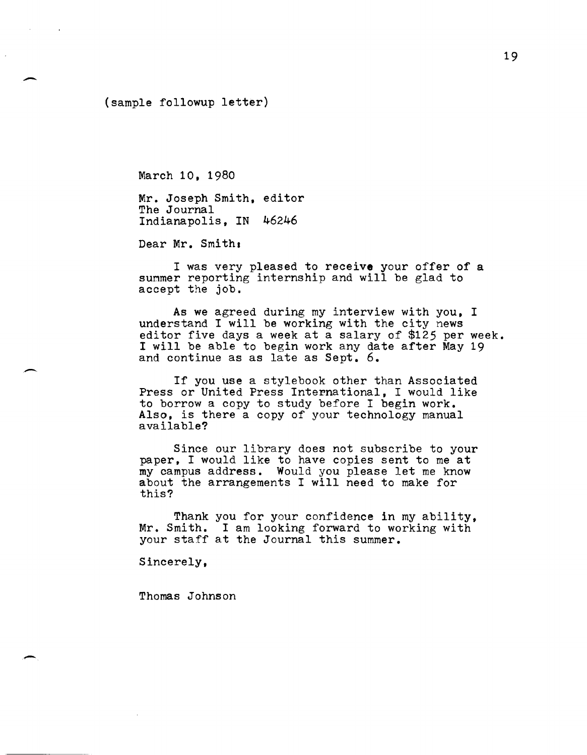(sample followup letter)

-

-

March 10, 1980

Mr. Joseph Smith, editor The Journal Indianapolis, IN 46246

Dear Mr. Smith:

I was very pleased to receive your offer of a summer reporting internship and will be glad to accept the job.

As we agreed during my interview with you, I understand I will be working with the city news editor five days a week at a salary of \$125 per week. I will be able to begin work any date after May 19 and continue as as late as Sept. 6.

If you use a stylebook other than Associated Press or United Press International, I would like to borrow a copy to study before I begin work. Also, is there a copy of your technology manual available?

Since our library does not subscribe to your paper. I would like to have copies sent to me at my campus address. Would you please let me know about the arrangements I will need to make for this?

Thank you for your confidence in my ability, Mr. Smith. I am looking forward to working with your staff at the Journal this summer.

Sincerely,

Thomas Johnson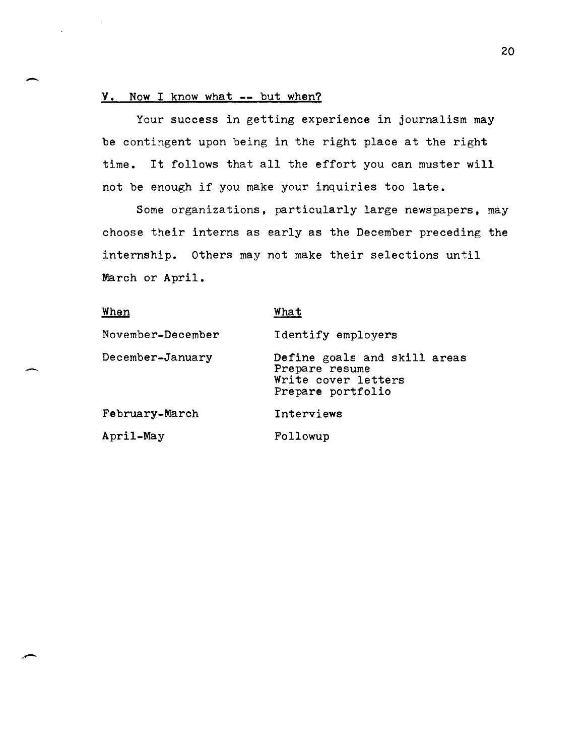### Y. Now I know what **--** but when?

-

-

Your success in getting experience in journalism may be contingent upon being in the right place at the right time. It follows that all the effort you can muster will not be enough if you make your inquiries too late.

Some organizations, particularly large newspapers, may choose their interns as early as the December preceding the internship. Others may not make their selections until March or April.

| When              | What                                                                                       |
|-------------------|--------------------------------------------------------------------------------------------|
| November-December | Identify employers                                                                         |
| December-January  | Define goals and skill areas<br>Prepare resume<br>Write cover letters<br>Prepare portfolio |
| February-March    | Interviews                                                                                 |
| April-May         | Followup                                                                                   |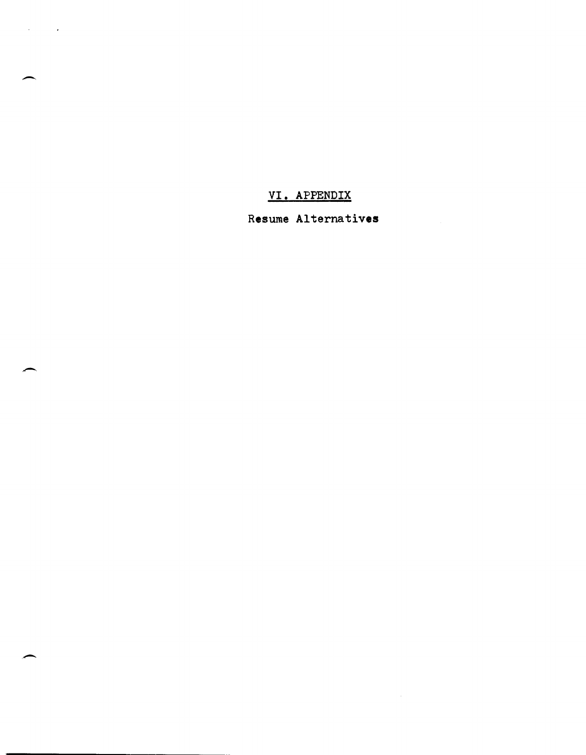**VI.** APPENDIX

-

 $\mathcal{A}^{\text{max}}_{\text{max}}$  and  $\mathcal{A}^{\text{max}}_{\text{max}}$ 

Resume Alternatives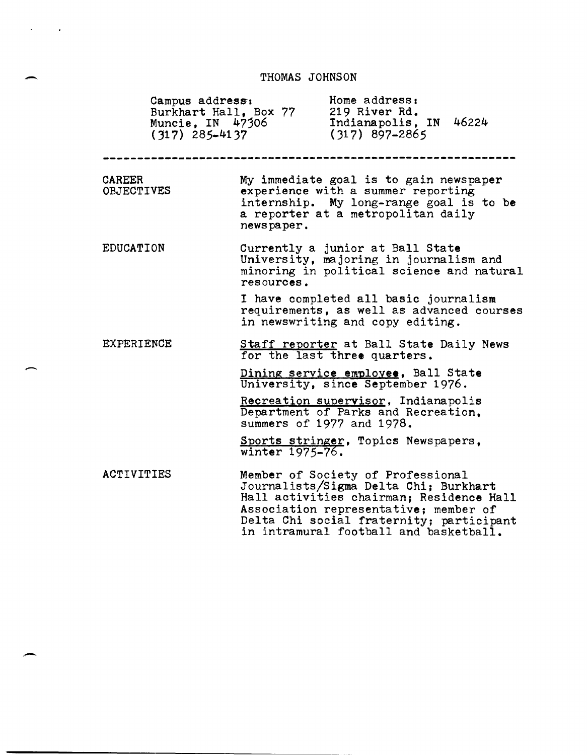# THOMAS JOHNSON

-

 $\bar{\epsilon}$ 

 $\sim$   $\sim$ 

-

|                                    | Home address:<br>Campus address:<br>Burkhart Hall, Box 77<br>219 River Rd.<br>Indianapolis, IN 46224<br>Muncie, IN $47306$<br>$(317)$ 897-2865<br>$(317)$ 285-4137                                                                                    |
|------------------------------------|-------------------------------------------------------------------------------------------------------------------------------------------------------------------------------------------------------------------------------------------------------|
| <b>CAREER</b><br><b>OBJECTIVES</b> | My immediate goal is to gain newspaper<br>experience with a summer reporting<br>internship. My long-range goal is to be<br>a reporter at a metropolitan daily<br>newspaper.                                                                           |
| <b>EDUCATION</b>                   | Currently a junior at Ball State<br>University, majoring in journalism and<br>minoring in political science and natural<br>resources.                                                                                                                 |
|                                    | I have completed all basic journalism<br>requirements, as well as advanced courses<br>in newswriting and copy editing.                                                                                                                                |
| <b>EXPERIENCE</b>                  | Staff reporter at Ball State Daily News<br>for the last three quarters.                                                                                                                                                                               |
|                                    | Dining service employee, Ball State<br>University, since September 1976.                                                                                                                                                                              |
|                                    | Recreation supervisor, Indianapolis<br>Department of Parks and Recreation,<br>summers of 1977 and 1978.                                                                                                                                               |
|                                    | Sports stringer, Topics Newspapers,<br>winter 1975-76.                                                                                                                                                                                                |
| ACTIVITIES                         | Member of Society of Professional<br>Journalists/Sigma Delta Chi; Burkhart<br>Hall activities chairman; Residence Hall<br>Association representative; member of<br>Delta Chi social fraternity; participant<br>in intramural football and basketball. |